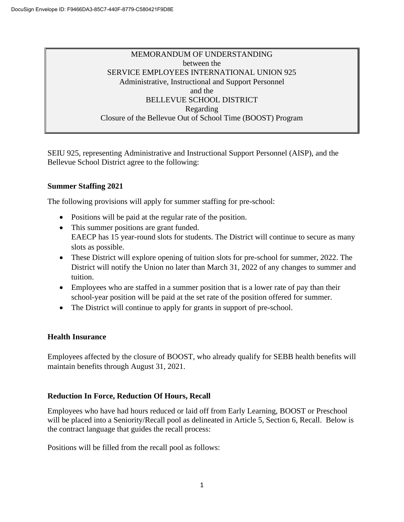# MEMORANDUM OF UNDERSTANDING between the SERVICE EMPLOYEES INTERNATIONAL UNION 925 Administrative, Instructional and Support Personnel and the BELLEVUE SCHOOL DISTRICT Regarding Closure of the Bellevue Out of School Time (BOOST) Program

SEIU 925, representing Administrative and Instructional Support Personnel (AISP), and the Bellevue School District agree to the following:

### **Summer Staffing 2021**

The following provisions will apply for summer staffing for pre-school:

- Positions will be paid at the regular rate of the position.
- This summer positions are grant funded. EAECP has 15 year-round slots for students. The District will continue to secure as many slots as possible.
- These District will explore opening of tuition slots for pre-school for summer, 2022. The District will notify the Union no later than March 31, 2022 of any changes to summer and tuition.
- Employees who are staffed in a summer position that is a lower rate of pay than their school-year position will be paid at the set rate of the position offered for summer.
- The District will continue to apply for grants in support of pre-school.

### **Health Insurance**

Employees affected by the closure of BOOST, who already qualify for SEBB health benefits will maintain benefits through August 31, 2021.

### **Reduction In Force, Reduction Of Hours, Recall**

Employees who have had hours reduced or laid off from Early Learning, BOOST or Preschool will be placed into a Seniority/Recall pool as delineated in Article 5, Section 6, Recall. Below is the contract language that guides the recall process:

Positions will be filled from the recall pool as follows: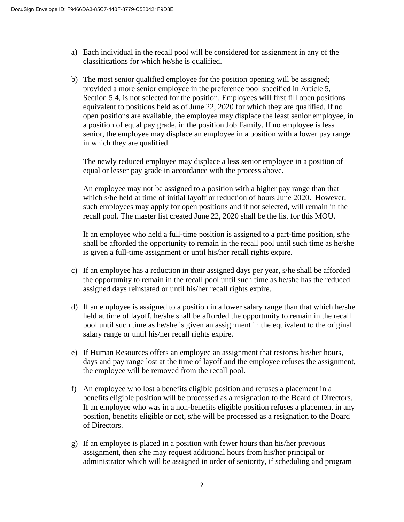- a) Each individual in the recall pool will be considered for assignment in any of the classifications for which he/she is qualified.
- b) The most senior qualified employee for the position opening will be assigned; provided a more senior employee in the preference pool specified in Article 5, Section 5.4, is not selected for the position. Employees will first fill open positions equivalent to positions held as of June 22, 2020 for which they are qualified. If no open positions are available, the employee may displace the least senior employee, in a position of equal pay grade, in the position Job Family. If no employee is less senior, the employee may displace an employee in a position with a lower pay range in which they are qualified.

The newly reduced employee may displace a less senior employee in a position of equal or lesser pay grade in accordance with the process above.

An employee may not be assigned to a position with a higher pay range than that which s/he held at time of initial layoff or reduction of hours June 2020. However, such employees may apply for open positions and if not selected, will remain in the recall pool. The master list created June 22, 2020 shall be the list for this MOU.

If an employee who held a full-time position is assigned to a part-time position, s/he shall be afforded the opportunity to remain in the recall pool until such time as he/she is given a full-time assignment or until his/her recall rights expire.

- c) If an employee has a reduction in their assigned days per year, s/he shall be afforded the opportunity to remain in the recall pool until such time as he/she has the reduced assigned days reinstated or until his/her recall rights expire.
- d) If an employee is assigned to a position in a lower salary range than that which he/she held at time of layoff, he/she shall be afforded the opportunity to remain in the recall pool until such time as he/she is given an assignment in the equivalent to the original salary range or until his/her recall rights expire.
- e) If Human Resources offers an employee an assignment that restores his/her hours, days and pay range lost at the time of layoff and the employee refuses the assignment, the employee will be removed from the recall pool.
- f) An employee who lost a benefits eligible position and refuses a placement in a benefits eligible position will be processed as a resignation to the Board of Directors. If an employee who was in a non-benefits eligible position refuses a placement in any position, benefits eligible or not, s/he will be processed as a resignation to the Board of Directors.
- g) If an employee is placed in a position with fewer hours than his/her previous assignment, then s/he may request additional hours from his/her principal or administrator which will be assigned in order of seniority, if scheduling and program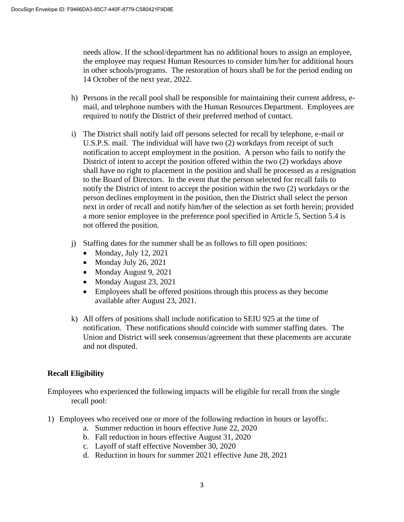needs allow. If the school/department has no additional hours to assign an employee, the employee may request Human Resources to consider him/her for additional hours in other schools/programs. The restoration of hours shall be for the period ending on 14 October of the next year, 2022.

- h) Persons in the recall pool shall be responsible for maintaining their current address, email, and telephone numbers with the Human Resources Department. Employees are required to notify the District of their preferred method of contact.
- i) The District shall notify laid off persons selected for recall by telephone, e-mail or U.S.P.S. mail. The individual will have two (2) workdays from receipt of such notification to accept employment in the position. A person who fails to notify the District of intent to accept the position offered within the two (2) workdays above shall have no right to placement in the position and shall be processed as a resignation to the Board of Directors. In the event that the person selected for recall fails to notify the District of intent to accept the position within the two (2) workdays or the person declines employment in the position, then the District shall select the person next in order of recall and notify him/her of the selection as set forth herein; provided a more senior employee in the preference pool specified in Article 5, Section 5.4 is not offered the position.
- j) Staffing dates for the summer shall be as follows to fill open positions:
	- Monday, July  $12, 2021$
	- Monday July 26, 2021
	- Monday August 9, 2021
	- Monday August 23, 2021
	- Employees shall be offered positions through this process as they become available after August 23, 2021.
- k) All offers of positions shall include notification to SEIU 925 at the time of notification. These notifications should coincide with summer staffing dates. The Union and District will seek consensus/agreement that these placements are accurate and not disputed.

# **Recall Eligibility**

Employees who experienced the following impacts will be eligible for recall from the single recall pool:

- 1) Employees who received one or more of the following reduction in hours or layoffs:.
	- a. Summer reduction in hours effective June 22, 2020
	- b. Fall reduction in hours effective August 31, 2020
	- c. Layoff of staff effective November 30, 2020
	- d. Reduction in hours for summer 2021 effective June 28, 2021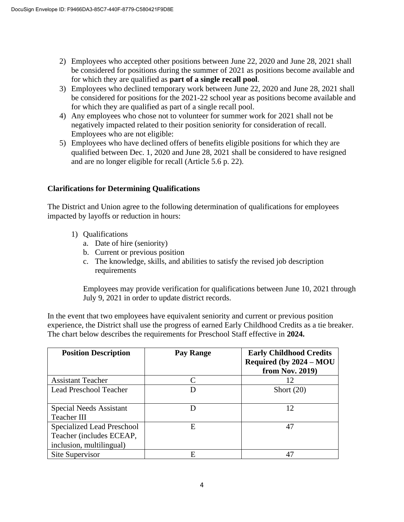- 2) Employees who accepted other positions between June 22, 2020 and June 28, 2021 shall be considered for positions during the summer of 2021 as positions become available and for which they are qualified as **part of a single recall pool**.
- 3) Employees who declined temporary work between June 22, 2020 and June 28, 2021 shall be considered for positions for the 2021-22 school year as positions become available and for which they are qualified as part of a single recall pool.
- 4) Any employees who chose not to volunteer for summer work for 2021 shall not be negatively impacted related to their position seniority for consideration of recall. Employees who are not eligible:
- 5) Employees who have declined offers of benefits eligible positions for which they are qualified between Dec. 1, 2020 and June 28, 2021 shall be considered to have resigned and are no longer eligible for recall (Article 5.6 p. 22).

# **Clarifications for Determining Qualifications**

The District and Union agree to the following determination of qualifications for employees impacted by layoffs or reduction in hours:

- 1) Qualifications
	- a. Date of hire (seniority)
	- b. Current or previous position
	- c. The knowledge, skills, and abilities to satisfy the revised job description requirements

Employees may provide verification for qualifications between June 10, 2021 through July 9, 2021 in order to update district records.

In the event that two employees have equivalent seniority and current or previous position experience, the District shall use the progress of earned Early Childhood Credits as a tie breaker. The chart below describes the requirements for Preschool Staff effective in **2024.**

| <b>Position Description</b>                                                        | <b>Pay Range</b> | <b>Early Childhood Credits</b><br>Required (by 2024 – MOU<br>from Nov. 2019) |
|------------------------------------------------------------------------------------|------------------|------------------------------------------------------------------------------|
| <b>Assistant Teacher</b>                                                           |                  | 12                                                                           |
| <b>Lead Preschool Teacher</b>                                                      |                  | Short $(20)$                                                                 |
| <b>Special Needs Assistant</b><br>Teacher III                                      |                  | 12                                                                           |
| Specialized Lead Preschool<br>Teacher (includes ECEAP,<br>inclusion, multilingual) | E                | 47                                                                           |
| Site Supervisor                                                                    | E                | 47                                                                           |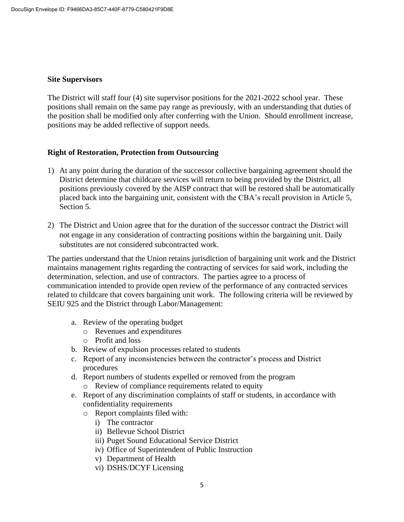#### **Site Supervisors**

The District will staff four (4) site supervisor positions for the 2021-2022 school year. These positions shall remain on the same pay range as previously, with an understanding that duties of the position shall be modified only after conferring with the Union. Should enrollment increase, positions may be added reflective of support needs.

### **Right of Restoration, Protection from Outsourcing**

- 1) At any point during the duration of the successor collective bargaining agreement should the District determine that childcare services will return to being provided by the District, all positions previously covered by the AISP contract that will be restored shall be automatically placed back into the bargaining unit, consistent with the CBA's recall provision in Article 5, Section 5.
- 2) The District and Union agree that for the duration of the successor contract the District will not engage in any consideration of contracting positions within the bargaining unit. Daily substitutes are not considered subcontracted work.

The parties understand that the Union retains jurisdiction of bargaining unit work and the District maintains management rights regarding the contracting of services for said work, including the determination, selection, and use of contractors. The parties agree to a process of communication intended to provide open review of the performance of any contracted services related to childcare that covers bargaining unit work. The following criteria will be reviewed by SEIU 925 and the District through Labor/Management:

- a. Review of the operating budget
	- o Revenues and expenditures
	- o Profit and loss
- b. Review of expulsion processes related to students
- c. Report of any inconsistencies between the contractor's process and District procedures
- d. Report numbers of students expelled or removed from the program
	- o Review of compliance requirements related to equity
- e. Report of any discrimination complaints of staff or students, in accordance with confidentiality requirements
	- o Report complaints filed with:
		- i) The contractor
		- ii) Bellevue School District
		- iii) Puget Sound Educational Service District
		- iv) Office of Superintendent of Public Instruction
		- v) Department of Health
		- vi) DSHS/DCYF Licensing